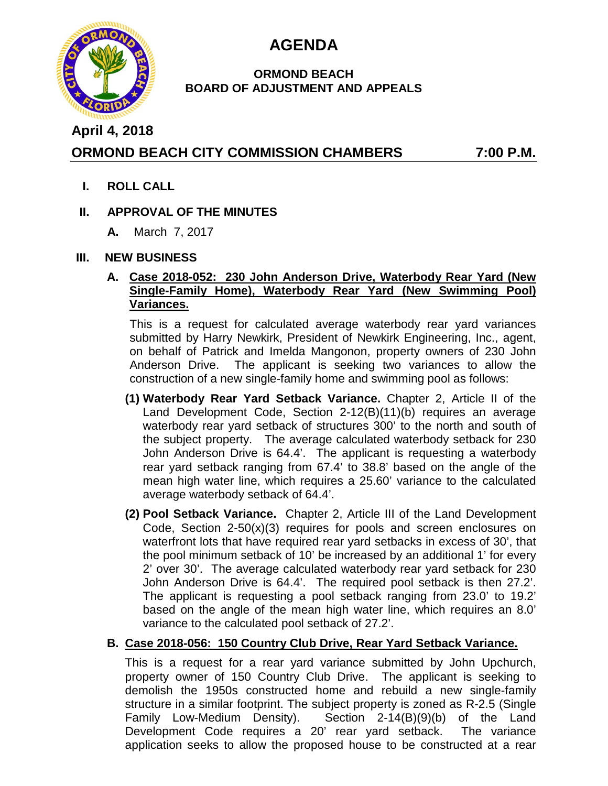

# **AGENDA**

### **ORMOND BEACH BOARD OF ADJUSTMENT AND APPEALS**

# **April 4, 2018**

# **ORMOND BEACH CITY COMMISSION CHAMBERS 7:00 P.M.**

**I. ROLL CALL**

## **II. APPROVAL OF THE MINUTES**

**A.** March 7, 2017

### **III. NEW BUSINESS**

### **A. Case 2018-052: 230 John Anderson Drive, Waterbody Rear Yard (New Single-Family Home), Waterbody Rear Yard (New Swimming Pool) Variances.**

This is a request for calculated average waterbody rear yard variances submitted by Harry Newkirk, President of Newkirk Engineering, Inc., agent, on behalf of Patrick and Imelda Mangonon, property owners of 230 John Anderson Drive. The applicant is seeking two variances to allow the construction of a new single-family home and swimming pool as follows:

- **(1) Waterbody Rear Yard Setback Variance.** Chapter 2, Article II of the Land Development Code, Section 2-12(B)(11)(b) requires an average waterbody rear yard setback of structures 300' to the north and south of the subject property. The average calculated waterbody setback for 230 John Anderson Drive is 64.4'. The applicant is requesting a waterbody rear yard setback ranging from 67.4' to 38.8' based on the angle of the mean high water line, which requires a 25.60' variance to the calculated average waterbody setback of 64.4'.
- **(2) Pool Setback Variance.** Chapter 2, Article III of the Land Development Code, Section 2-50(x)(3) requires for pools and screen enclosures on waterfront lots that have required rear yard setbacks in excess of 30', that the pool minimum setback of 10' be increased by an additional 1' for every 2' over 30'. The average calculated waterbody rear yard setback for 230 John Anderson Drive is 64.4'. The required pool setback is then 27.2'. The applicant is requesting a pool setback ranging from 23.0' to 19.2' based on the angle of the mean high water line, which requires an 8.0' variance to the calculated pool setback of 27.2'.

### **B. Case 2018-056: 150 Country Club Drive, Rear Yard Setback Variance.**

This is a request for a rear yard variance submitted by John Upchurch, property owner of 150 Country Club Drive. The applicant is seeking to demolish the 1950s constructed home and rebuild a new single-family structure in a similar footprint. The subject property is zoned as R-2.5 (Single Family Low-Medium Density). Section 2-14(B)(9)(b) of the Land Development Code requires a 20' rear yard setback. The variance application seeks to allow the proposed house to be constructed at a rear